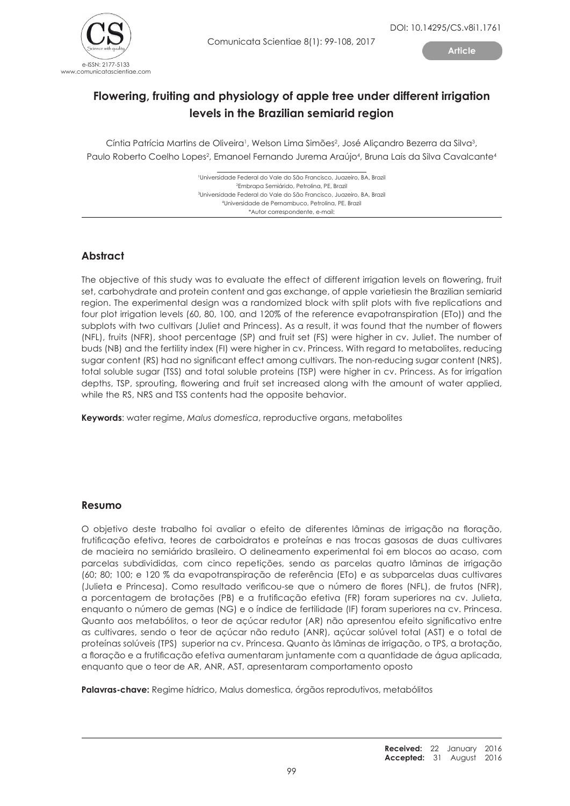

**Article**

# **Flowering, fruiting and physiology of apple tree under different irrigation levels in the Brazilian semiarid region**

Cíntia Patrícia Martins de Oliveira<sup>1</sup>, Welson Lima Simões<sup>2</sup>, José Aliçandro Bezerra da Silva<sup>3</sup>, Paulo Roberto Coelho Lopes<sup>2</sup>, Emanoel Fernando Jurema Araújo<sup>4</sup>, Bruna Lais da Silva Cavalcante4

> ¹Universidade Federal do Vale do São Francisco, Juazeiro, BA, Brazil 2 Embrapa Semiárido, Petrolina, PE, Brazil 3 Universidade Federal do Vale do São Francisco, Juazeiro, BA, Brazil 4 Universidade de Pernambuco, Petrolina, PE, Brazil \*Autor correspondente, e-mail:

# **Abstract**

The objective of this study was to evaluate the effect of different irrigation levels on flowering, fruit set, carbohydrate and protein content and gas exchange, of apple varietiesin the Brazilian semiarid region. The experimental design was a randomized block with split plots with five replications and four plot irrigation levels (60, 80, 100, and 120% of the reference evapotranspiration (ETo)) and the subplots with two cultivars (Juliet and Princess). As a result, it was found that the number of flowers (NFL), fruits (NFR), shoot percentage (SP) and fruit set (FS) were higher in cv. Juliet. The number of buds (NB) and the fertility index (FI) were higher in cv. Princess. With regard to metabolites, reducing sugar content (RS) had no significant effect among cultivars. The non-reducing sugar content (NRS), total soluble sugar (TSS) and total soluble proteins (TSP) were higher in cv. Princess. As for irrigation depths, TSP, sprouting, flowering and fruit set increased along with the amount of water applied, while the RS, NRS and TSS contents had the opposite behavior.

**Keywords**: water regime, *Malus domestica*, reproductive organs, metabolites

## **Resumo**

O objetivo deste trabalho foi avaliar o efeito de diferentes lâminas de irrigação na floração, frutificação efetiva, teores de carboidratos e proteínas e nas trocas gasosas de duas cultivares de macieira no semiárido brasileiro. O delineamento experimental foi em blocos ao acaso, com parcelas subdivididas, com cinco repetições, sendo as parcelas quatro lâminas de irrigação (60; 80; 100; e 120 % da evapotranspiração de referência (ETo) e as subparcelas duas cultivares (Julieta e Princesa). Como resultado verificou-se que o número de flores (NFL), de frutos (NFR), a porcentagem de brotações (PB) e a frutificação efetiva (FR) foram superiores na cv. Julieta, enquanto o número de gemas (NG) e o índice de fertilidade (IF) foram superiores na cv. Princesa. Quanto aos metabólitos, o teor de açúcar redutor (AR) não apresentou efeito significativo entre as cultivares, sendo o teor de açúcar não reduto (ANR), açúcar solúvel total (AST) e o total de proteínas solúveis (TPS) superior na cv. Princesa. Quanto às lâminas de irrigação, o TPS, a brotação, a floração e a frutificação efetiva aumentaram juntamente com a quantidade de água aplicada, enquanto que o teor de AR, ANR, AST, apresentaram comportamento oposto

**Palavras-chave:** Regime hídrico, Malus domestica, órgãos reprodutivos, metabólitos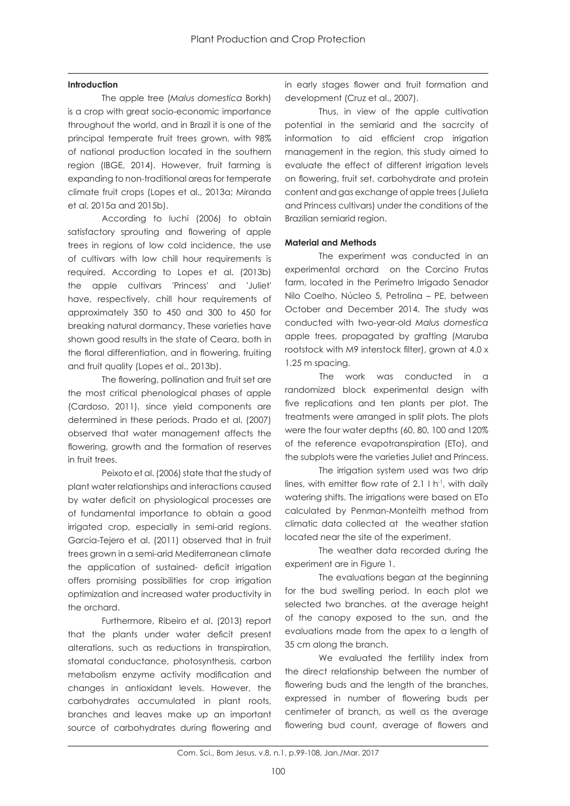### **Introduction**

The apple tree (*Malus domestica* Borkh) is a crop with great socio-economic importance throughout the world, and in Brazil it is one of the principal temperate fruit trees grown, with 98% of national production located in the southern region (IBGE, 2014). However, fruit farming is expanding to non-traditional areas for temperate climate fruit crops (Lopes et al., 2013a; Miranda et al. 2015a and 2015b).

According to Iuchi (2006) to obtain satisfactory sprouting and flowering of apple trees in regions of low cold incidence, the use of cultivars with low chill hour requirements is required. According to Lopes et al. (2013b) the apple cultivars 'Princess' and 'Juliet' have, respectively, chill hour requirements of approximately 350 to 450 and 300 to 450 for breaking natural dormancy. These varieties have shown good results in the state of Ceara, both in the floral differentiation, and in flowering, fruiting and fruit quality (Lopes et al., 2013b).

The flowering, pollination and fruit set are the most critical phenological phases of apple (Cardoso, 2011), since yield components are determined in these periods. Prado et al. (2007) observed that water management affects the flowering, growth and the formation of reserves in fruit trees.

Peixoto et al. (2006) state that the study of plant water relationships and interactions caused by water deficit on physiological processes are of fundamental importance to obtain a good irrigated crop, especially in semi-arid regions. Garcia-Tejero et al. (2011) observed that in fruit trees grown in a semi-arid Mediterranean climate the application of sustained- deficit irrigation offers promising possibilities for crop irrigation optimization and increased water productivity in the orchard.

Furthermore, Ribeiro et al. (2013) report that the plants under water deficit present alterations, such as reductions in transpiration, stomatal conductance, photosynthesis, carbon metabolism enzyme activity modification and changes in antioxidant levels. However, the carbohydrates accumulated in plant roots, branches and leaves make up an important source of carbohydrates during flowering and

in early stages flower and fruit formation and development (Cruz et al., 2007).

Thus, in view of the apple cultivation potential in the semiarid and the sacrcity of information to aid efficient crop irrigation management in the region, this study aimed to evaluate the effect of different irrigation levels on flowering, fruit set, carbohydrate and protein content and gas exchange of apple trees (Julieta and Princess cultivars) under the conditions of the Brazilian semiarid region.

### **Material and Methods**

The experiment was conducted in an experimental orchard on the Corcino Frutas farm, located in the Perímetro Irrigado Senador Nilo Coelho, Núcleo 5, Petrolina – PE, between October and December 2014. The study was conducted with two-year-old *Malus domestica* apple trees, propagated by grafting (Maruba rootstock with M9 interstock filter), grown at 4.0 x 1.25 m spacing.

The work was conducted in a randomized block experimental design with five replications and ten plants per plot. The treatments were arranged in split plots. The plots were the four water depths (60, 80, 100 and 120% of the reference evapotranspiration (ETo), and the subplots were the varieties Juliet and Princess.

The irrigation system used was two drip lines, with emitter flow rate of  $2.1 \,$ l h<sup>-1</sup>, with daily watering shifts. The irrigations were based on ETo calculated by Penman-Monteith method from climatic data collected at the weather station located near the site of the experiment.

The weather data recorded during the experiment are in Figure 1.

The evaluations began at the beginning for the bud swelling period. In each plot we selected two branches, at the average height of the canopy exposed to the sun, and the evaluations made from the apex to a length of 35 cm along the branch.

We evaluated the fertility index from the direct relationship between the number of flowering buds and the length of the branches, expressed in number of flowering buds per centimeter of branch, as well as the average flowering bud count, average of flowers and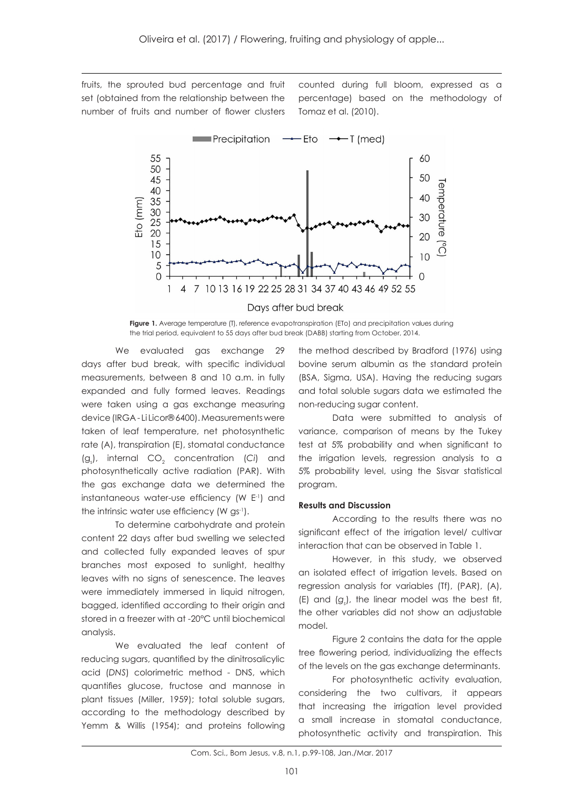fruits, the sprouted bud percentage and fruit set (obtained from the relationship between the number of fruits and number of flower clusters counted during full bloom, expressed as a percentage) based on the methodology of Tomaz et al. (2010).



**Figure 1.** Average temperature (T), reference evapotranspiration (ETo) and precipitation values during the trial period, equivalent to 55 days after bud break (DABB) starting from October, 2014.

We evaluated gas exchange 29 days after bud break, with specific individual measurements, between 8 and 10 a.m. in fully expanded and fully formed leaves. Readings were taken using a gas exchange measuring device (IRGA - Li Licor® 6400). Measurements were taken of leaf temperature, net photosynthetic rate (A), transpiration (E), stomatal conductance (g<sub>s</sub>), internal CO<sub>2</sub> concentration (Ci) and photosynthetically active radiation (PAR). With the gas exchange data we determined the instantaneous water-use efficiency (W E-1) and the intrinsic water use efficiency (W gs<sup>-1</sup>).

To determine carbohydrate and protein content 22 days after bud swelling we selected and collected fully expanded leaves of spur branches most exposed to sunlight, healthy leaves with no signs of senescence. The leaves were immediately immersed in liquid nitrogen, bagged, identified according to their origin and stored in a freezer with at -20°C until biochemical analysis.

We evaluated the leaf content of reducing sugars, quantified by the dinitrosalicylic acid (*DNS*) colorimetric method - DNS, which quantifies glucose, fructose and mannose in plant tissues (Miller, 1959); total soluble sugars, according to the methodology described by Yemm & Willis (1954); and proteins following

the method described by Bradford (1976) using bovine serum albumin as the standard protein (BSA, Sigma, USA). Having the reducing sugars and total soluble sugars data we estimated the non-reducing sugar content.

Data were submitted to analysis of variance, comparison of means by the Tukey test at 5% probability and when significant to the irrigation levels, regression analysis to a 5% probability level, using the Sisvar statistical program.

#### **Results and Discussion**

According to the results there was no significant effect of the irrigation level/ cultivar interaction that can be observed in Table 1.

However, in this study, we observed an isolated effect of irrigation levels. Based on regression analysis for variables (Tf), (PAR), (A),  $(E)$  and  $(g_s)$ , the linear model was the best fit, the other variables did not show an adjustable model.

Figure 2 contains the data for the apple tree flowering period, individualizing the effects of the levels on the gas exchange determinants.

For photosynthetic activity evaluation, considering the two cultivars, it appears that increasing the irrigation level provided a small increase in stomatal conductance, photosynthetic activity and transpiration. This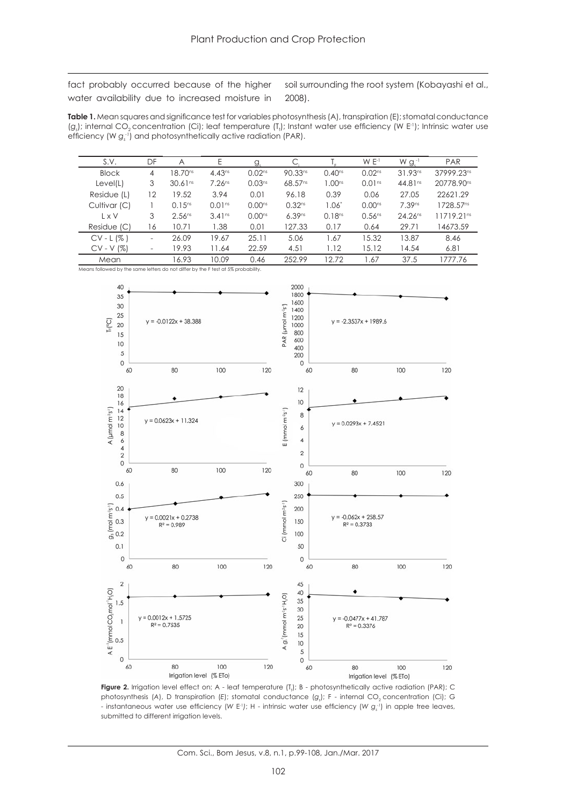fact probably occurred because of the higher water availability due to increased moisture in

soil surrounding the root system (Kobayashi et al., 2008).

**Table 1.** Mean squares and significance test for variables photosynthesis (A), transpiration (E); stomatal conductance (g<sub>s</sub>); internal CO<sub>2</sub> concentration (Ci); leaf temperature (T<sub>i</sub>); Instant water use efficiency (W E<sup>1</sup>); Intrinsic water use efficiency (W g<sub>s</sub><sup>1</sup>) and photosynthetically active radiation (PAR).

| S.V.         | DF                       | A                   | Ε                  | g,                 |                     |                    | $W E^{-1}$         | $W g_{s}^{-1}$      | <b>PAR</b>             |
|--------------|--------------------------|---------------------|--------------------|--------------------|---------------------|--------------------|--------------------|---------------------|------------------------|
| <b>Block</b> | 4                        | 18.70 <sup>ns</sup> | $4.43^{ns}$        | 0.02 <sup>ns</sup> | 90.33 <sup>ns</sup> | $0.40^{ns}$        | 0.02 <sup>ns</sup> | $31.93^{ns}$        | 37999.23ns             |
| Level(L)     | 3                        | 30.61 <sup>ns</sup> | 7.26 <sup>ns</sup> | 0.03 <sup>ns</sup> | 68.57 <sup>ns</sup> | 1.00 <sup>ns</sup> | 0.01 <sup>ns</sup> | 44.81 <sup>ns</sup> | 20778.90 <sup>ns</sup> |
| Residue (L)  | 12                       | 19.52               | 3.94               | 0.01               | 96.18               | 0.39               | 0.06               | 27.05               | 22621.29               |
| Cultivar (C) |                          | $0.15^{ns}$         | 0.01 <sup>ns</sup> | $0.00^{ns}$        | 0.32 <sup>ns</sup>  | $1.06*$            | $0.00^{ns}$        | 7.39ns              | 1728.57 <sup>ns</sup>  |
| L x V        | 3                        | 2.56 <sup>ns</sup>  | 3.41 <sup>ns</sup> | $0.00^{ns}$        | 6.39 <sup>ns</sup>  | 0.18 <sup>ns</sup> | $0.56^{ns}$        | $24.26^{ns}$        | 11719.21 <sup>ns</sup> |
| Residue (C)  | 16                       | 10.71               | 1.38               | 0.01               | 127.33              | 0.17               | 0.64               | 29.71               | 14673.59               |
| $CV - L (%)$ | $\overline{\phantom{0}}$ | 26.09               | 19.67              | 25.11              | 5.06                | 1.67               | 15.32              | 13.87               | 8.46                   |
| $CV - V (%)$ |                          | 19.93               | 11.64              | 22.59              | 4.51                | 1.12               | 15.12              | 14.54               | 6.81                   |
| Mean         |                          | 16.93               | 10.09              | 0.46               | 252.99              | 12.72              | 1.67               | 37.5                | 1777.76                |

Means followed by the same letters do not differ by the F test at 5% probability.



**Figure 2.** Irrigation level effect on: A - leaf temperature (T<sub>1</sub>); B - photosynthetically active radiation (PAR); C photosynthesis (A), D transpiration (E); stomatal conductance (g<sub>s</sub>); F - internal CO<sub>2</sub> concentration (Ci); G - instantaneous water use efficiency (*W* E-1*)*; H - intrinsic water use efficiency (*W gs -1*) in apple tree leaves, submitted to different irrigation levels.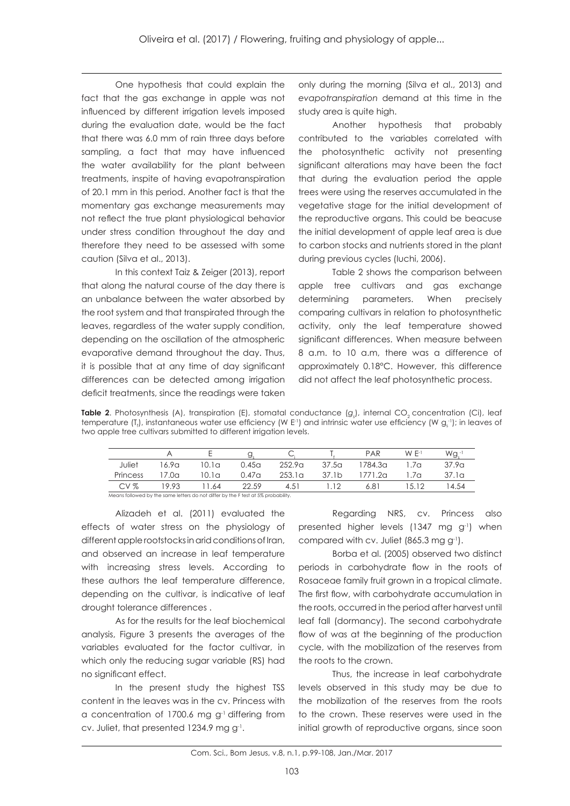One hypothesis that could explain the fact that the gas exchange in apple was not influenced by different irrigation levels imposed during the evaluation date, would be the fact that there was 6.0 mm of rain three days before sampling, a fact that may have influenced the water availability for the plant between treatments, inspite of having evapotranspiration of 20.1 mm in this period. Another fact is that the momentary gas exchange measurements may not reflect the true plant physiological behavior under stress condition throughout the day and therefore they need to be assessed with some caution (Silva et al., 2013).

In this context Taiz & Zeiger (2013), report that along the natural course of the day there is an unbalance between the water absorbed by the root system and that transpirated through the leaves, regardless of the water supply condition, depending on the oscillation of the atmospheric evaporative demand throughout the day. Thus, it is possible that at any time of day significant differences can be detected among irrigation deficit treatments, since the readings were taken

only during the morning (Silva et al., 2013) and *evapotranspiration* demand at this time in the study area is quite high.

Another hypothesis that probably contributed to the variables correlated with the photosynthetic activity not presenting significant alterations may have been the fact that during the evaluation period the apple trees were using the reserves accumulated in the vegetative stage for the initial development of the reproductive organs. This could be beacuse the initial development of apple leaf area is due to carbon stocks and nutrients stored in the plant during previous cycles (Iuchi, 2006).

Table 2 shows the comparison between apple tree cultivars and gas exchange determining parameters. When precisely comparing cultivars in relation to photosynthetic activity, only the leaf temperature showed significant differences. When measure between 8 a.m. to 10 a.m, there was a difference of approximately 0.18°C. However, this difference did not affect the leaf photosynthetic process.

**Table 2.** Photosynthesis (A), transpiration (E), stomatal conductance (g<sub>s</sub>), internal CO<sub>2</sub> concentration (Ci), leaf temperature (T<sub>1</sub>), instantaneous water use efficiency (W E<sup>.1</sup>) and intrinsic water use efficiency (W g $_{\rm s}^{_\mathrm{-}1}$ ); in leaves of two apple tree cultivars submitted to different irrigation levels.

|                                                                                   |       |       | Y.                |                    |                   | PAR     | $W F-1$     | Wg.               |  |  |
|-----------------------------------------------------------------------------------|-------|-------|-------------------|--------------------|-------------------|---------|-------------|-------------------|--|--|
| Juliet                                                                            | 16.9a | 10.1a | 0.45 <sub>G</sub> | 252.9 <sub>G</sub> | 37.5 <sub>a</sub> | 1784.3a | .7 $\alpha$ | 37.9 <sub>a</sub> |  |  |
| Princess                                                                          | 17.0a | 10.1a | 0.47 <sub>a</sub> | 253.1a             | 37.1 <sub>b</sub> | 1771.2a | $\alpha$    | 37.1a             |  |  |
| CVZ                                                                               | 19.93 | 1.64  | 22.59             | 4.51               | .12               | 6.81    | 5.12        | 14.54             |  |  |
| Means followed by the same letters do not differ by the F test at 5% probability. |       |       |                   |                    |                   |         |             |                   |  |  |

Alizadeh et al. (2011) evaluated the effects of water stress on the physiology of different apple rootstocks in arid conditions of Iran, and observed an increase in leaf temperature with increasing stress levels. According to these authors the leaf temperature difference, depending on the cultivar, is indicative of leaf drought tolerance differences .

As for the results for the leaf biochemical analysis, Figure 3 presents the averages of the variables evaluated for the factor cultivar, in which only the reducing sugar variable (RS) had no significant effect.

In the present study the highest TSS content in the leaves was in the cv. Princess with a concentration of 1700.6 mg  $g<sup>-1</sup>$  differing from cv. Juliet, that presented 1234.9 mg g<sup>-1</sup>.

Regarding NRS, cv. Princess also presented higher levels (1347 mg g<sup>-1</sup>) when compared with cv. Juliet (865.3 mg g-1).

Borba et al. (2005) observed two distinct periods in carbohydrate flow in the roots of Rosaceae family fruit grown in a tropical climate. The first flow, with carbohydrate accumulation in the roots, occurred in the period after harvest until leaf fall (dormancy). The second carbohydrate flow of was at the beginning of the production cycle, with the mobilization of the reserves from the roots to the crown.

Thus, the increase in leaf carbohydrate levels observed in this study may be due to the mobilization of the reserves from the roots to the crown. These reserves were used in the initial growth of reproductive organs, since soon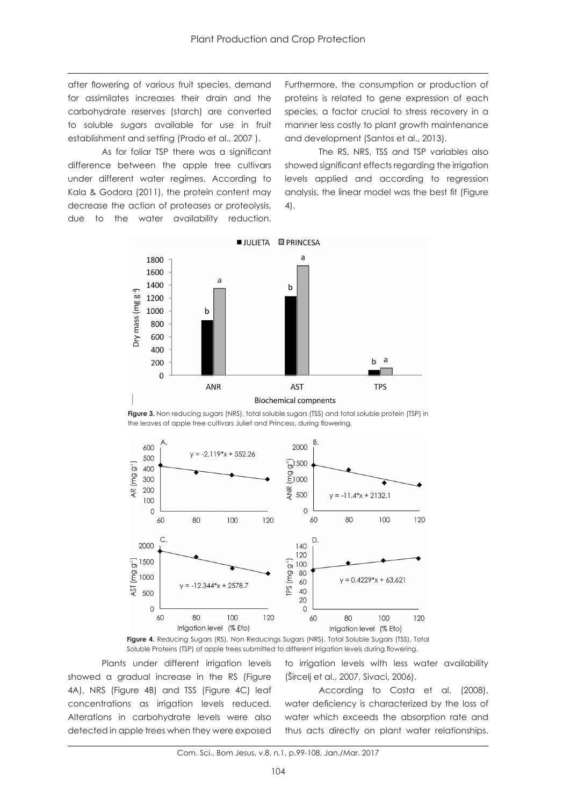after flowering of various fruit species, demand for assimilates increases their drain and the carbohydrate reserves (starch) are converted to soluble sugars available for use in fruit establishment and setting (Prado et al., 2007 ).

As for foliar TSP there was a significant difference between the apple tree cultivars under different water regimes. According to Kala & Godora (2011), the protein content may decrease the action of proteases or proteolysis, due to the water availability reduction. Furthermore, the consumption or production of proteins is related to gene expression of each species, a factor crucial to stress recovery in a manner less costly to plant growth maintenance and development (Santos et al., 2013).

The RS, NRS, TSS and TSP variables also showed significant effects regarding the irrigation levels applied and according to regression analysis, the linear model was the best fit (Figure 4).



Figure 3. Non reducing sugars (NRS), total soluble sugars (TSS) and total soluble protein (TSP) in the leaves of apple tree cultivars Juliet and Princess, during flowering.



**Figure 4.** Reducing Sugars (RS), Non Reducings Sugars (NRS), Total Soluble Sugars (TSS), Total Soluble Proteins (TSP) of apple trees submitted to different irrigation levels during flowering.

Plants under different irrigation levels showed a gradual increase in the RS (Figure 4A), NRS (Figure 4B) and TSS (Figure 4C) leaf concentrations as irrigation levels reduced. Alterations in carbohydrate levels were also detected in apple trees when they were exposed to irrigation levels with less water availability (Šircelj et al., 2007, Sivaci, 2006).

According to Costa et al. (2008), water deficiency is characterized by the loss of water which exceeds the absorption rate and thus acts directly on plant water relationships.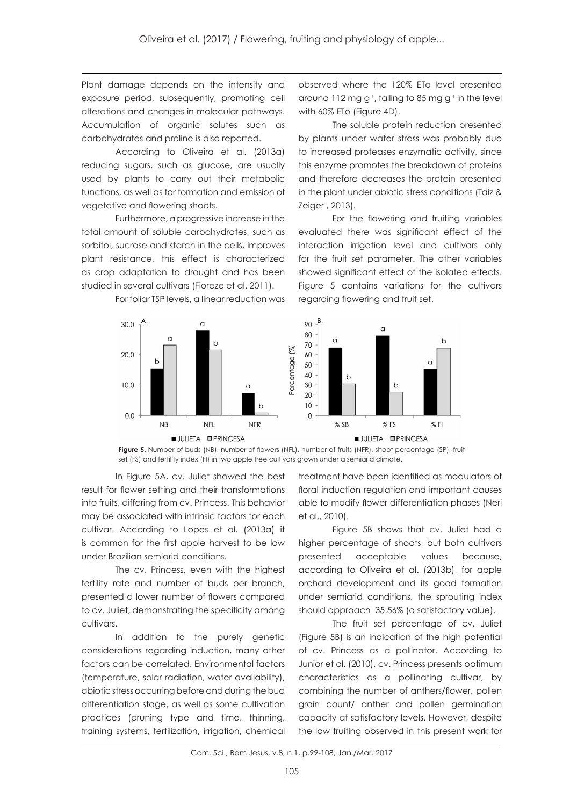Plant damage depends on the intensity and exposure period, subsequently, promoting cell alterations and changes in molecular pathways. Accumulation of organic solutes such as carbohydrates and proline is also reported.

According to Oliveira et al. (2013a) reducing sugars, such as glucose, are usually used by plants to carry out their metabolic functions, as well as for formation and emission of vegetative and flowering shoots.

Furthermore, a progressive increase in the total amount of soluble carbohydrates, such as sorbitol, sucrose and starch in the cells, improves plant resistance, this effect is characterized as crop adaptation to drought and has been studied in several cultivars (Fioreze et al. 2011).

For foliar TSP levels, a linear reduction was

observed where the 120% ETo level presented around  $112$  mg g<sup>-1</sup>, falling to 85 mg g<sup>-1</sup> in the level with 60% ETo (Figure 4D).

The soluble protein reduction presented by plants under water stress was probably due to increased proteases enzymatic activity, since this enzyme promotes the breakdown of proteins and therefore decreases the protein presented in the plant under abiotic stress conditions (Taiz & Zeiger , 2013).

For the flowering and fruiting variables evaluated there was significant effect of the interaction irrigation level and cultivars only for the fruit set parameter. The other variables showed significant effect of the isolated effects. Figure 5 contains variations for the cultivars regarding flowering and fruit set.



**Figure 5.** Number of buds (NB), number of flowers (NFL), number of fruits (NFR), shoot percentage (SP), fruit set (FS) and fertility index (FI) in two apple tree cultivars grown under a semiarid climate.

In Figure 5A, cv. Juliet showed the best result for flower setting and their transformations into fruits, differing from cv. Princess. This behavior may be associated with intrinsic factors for each cultivar. According to Lopes et al. (2013a) it is common for the first apple harvest to be low under Brazilian semiarid conditions.

The cv. Princess, even with the highest fertility rate and number of buds per branch, presented a lower number of flowers compared to cv. Juliet, demonstrating the specificity among cultivars.

In addition to the purely genetic considerations regarding induction, many other factors can be correlated. Environmental factors (temperature, solar radiation, water availability), abiotic stress occurring before and during the bud differentiation stage, as well as some cultivation practices (pruning type and time, thinning, training systems, fertilization, irrigation, chemical

treatment have been identified as modulators of floral induction regulation and important causes able to modify flower differentiation phases (Neri et al., 2010).

Figure 5B shows that cv. Juliet had a higher percentage of shoots, but both cultivars presented acceptable values because, according to Oliveira et al. (2013b), for apple orchard development and its good formation under semiarid conditions, the sprouting index should approach 35.56% (a satisfactory value).

The fruit set percentage of cv. Juliet (Figure 5B) is an indication of the high potential of cv. Princess as a pollinator. According to Junior et al. (2010), cv. Princess presents optimum characteristics as a pollinating cultivar, by combining the number of anthers/flower, pollen grain count/ anther and pollen germination capacity at satisfactory levels. However, despite the low fruiting observed in this present work for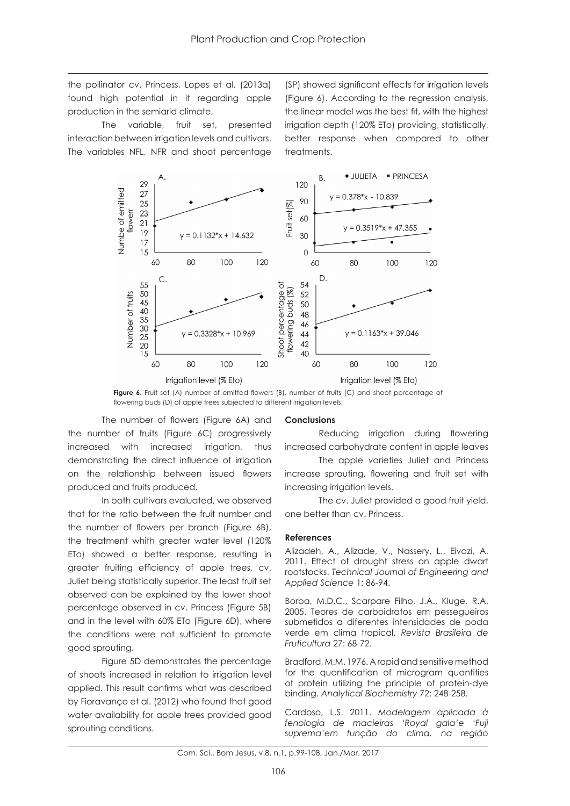the pollinator cv. Princess, Lopes et al. (2013a) found high potential in it regarding apple production in the semiarid climate.

The variable, fruit set, presented interaction between irrigation levels and cultivars. The variables NFL, NFR and shoot percentage

(SP) showed significant effects for irrigation levels (Figure 6). According to the regression analysis, the linear model was the best fit, with the highest irrigation depth (120% ETo) providing, statistically, better response when compared to other treatments.



**Figure 6.** Fruit set (A) number of emitted flowers (B), number of fruits (C) and shoot percentage of flowering buds (D) of apple trees subjected to different irrigation levels.

The number of flowers (Figure 6A) and the number of fruits (Figure 6C) progressively increased with increased irrigation, thus demonstrating the direct influence of irrigation on the relationship between issued flowers produced and fruits produced.

In both cultivars evaluated, we observed that for the ratio between the fruit number and the number of flowers per branch (Figure 6B), the treatment whith greater water level (120% ETo) showed a better response, resulting in greater fruiting efficiency of apple trees, cv. Juliet being statistically superior. The least fruit set observed can be explained by the lower shoot percentage observed in cv. Princess (Figure 5B) and in the level with 60% ETo (Figure 6D), where the conditions were not sufficient to promote good sprouting.

Figure 5D demonstrates the percentage of shoots increased in relation to irrigation level applied. This result confirms what was described by Fioravanço et al. (2012) who found that good water availability for apple trees provided good sprouting conditions.

#### **Conclusions**

Reducing irrigation during flowering increased carbohydrate content in apple leaves

The apple varieties Juliet and Princess increase sprouting, flowering and fruit set with increasing irrigation levels.

The cv. Juliet provided a good fruit yield, one better than cv. Princess.

#### **References**

Alizadeh, A., Alizade, V., Nassery, L., Eivazi, A. 2011. Effect of drought stress on apple dwarf rootstocks. *Technical Journal of Engineering and Applied Science* 1: 86-94.

Borba, M.D.C., Scarpare Filho, J.A., Kluge, R.A. 2005. Teores de carboidratos em pessegueiros submetidos a diferentes intensidades de poda verde em clima tropical. *Revista Brasileira de Fruticultura* 27: 68-72.

Bradford, M.M. 1976. A rapid and sensitive method for the quantification of microgram quantities of protein utilizing the principle of protein-dye binding. *Analytical Biochemistry* 72: 248-258.

Cardoso, L.S. 2011. *Modelagem aplicada à fenologia de macieiras 'Royal gala'e 'Fuji suprema'em função do clima, na região*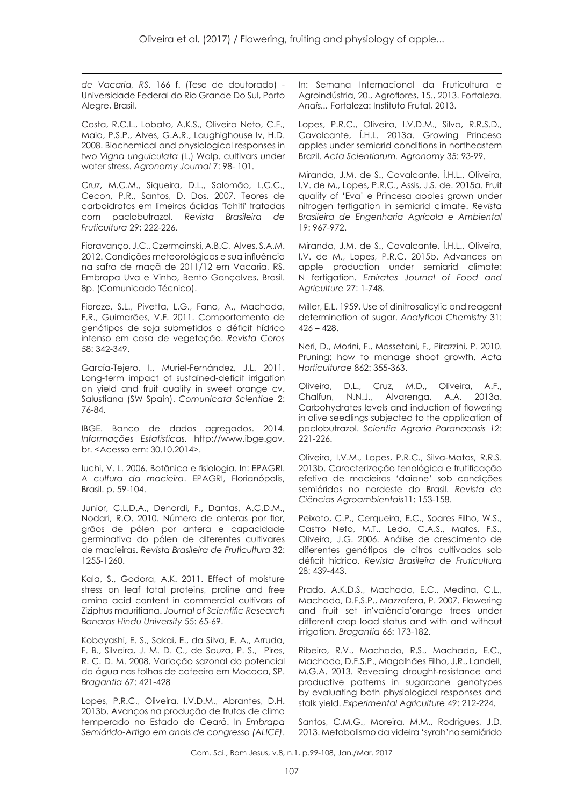*de Vacaria, RS*. 166 f. (Tese de doutorado) - Universidade Federal do Rio Grande Do Sul, Porto Alegre, Brasil.

Costa, R.C.L., Lobato, A.K.S., Oliveira Neto, C.F., Maia, P.S.P., Alves, G.A.R., Laughighouse Iv, H.D. 2008. Biochemical and physiological responses in two *Vigna unguiculata* (L.) Walp. cultivars under water stress. *Agronomy Journal* 7: 98- 101.

Cruz, M.C.M., Siqueira, D.L., Salomão, L.C.C., Cecon, P.R., Santos, D. Dos. 2007. Teores de carboidratos em limeiras ácidas 'Tahiti' tratadas com paclobutrazol. *Revista Brasileira de Fruticultura* 29: 222-226.

Fioravanço, J.C., Czermainski, A.B.C, Alves, S.A.M. 2012. Condições meteorológicas e sua influência na safra de maçã de 2011/12 em Vacaria, RS. Embrapa Uva e Vinho, Bento Gonçalves, Brasil. 8p. (Comunicado Técnico).

Fioreze, S.L., Pivetta, L.G., Fano, A., Machado, F.R., Guimarães, V.F. 2011. Comportamento de genótipos de soja submetidos a déficit hídrico intenso em casa de vegetação. *Revista Ceres* 58: 342-349.

García-Tejero, I., Muriel-Fernández, J.L. 2011. Long-term impact of sustained-deficit irrigation on yield and fruit quality in sweet orange cv. Salustiana (SW Spain). *Comunicata Scientiae* 2: 76-84.

IBGE. Banco de dados agregados. 2014. *Informações Estatísticas.* http://www.ibge.gov. br. <Acesso em: 30.10.2014>.

Iuchi, V. L. 2006. Botânica e fisiologia. In: EPAGRI. *A cultura da macieira*. EPAGRI, Florianópolis, Brasil. p. 59-104.

Junior, C.L.D.A., Denardi, F., Dantas, A.C.D.M., Nodari, R.O. 2010. Número de anteras por flor, grãos de pólen por antera e capacidade germinativa do pólen de diferentes cultivares de macieiras. *Revista Brasileira de Fruticultura* 32: 1255-1260.

Kala, S., Godora, A.K. 2011. Effect of moisture stress on leaf total proteins, proline and free amino acid content in commercial cultivars of Ziziphus mauritiana. *Journal of Scientific Research Banaras Hindu University* 55: 65-69.

Kobayashi, E. S., Sakai, E., da Silva, E. A., Arruda, F. B., Silveira, J. M. D. C., de Souza, P. S., Pires, R. C. D. M. 2008. Variação sazonal do potencial da água nas folhas de cafeeiro em Mococa, SP. *Bragantia* 67: 421-428

Lopes, P.R.C., Oliveira, I.V.D.M., Abrantes, D.H. 2013b. Avanços na produção de frutas de clima temperado no Estado do Ceará. In *Embrapa Semiárido-Artigo em anais de congresso (ALICE)*. In: Semana Internacional da Fruticultura e Agroindústria, 20., Agroflores, 15., 2013. Fortaleza. *Anais...* Fortaleza: Instituto Frutal, 2013.

Lopes, P.R.C., Oliveira, I.V.D.M., Silva, R.R.S.D., Cavalcante, Í.H.L. 2013a. Growing Princesa apples under semiarid conditions in northeastern Brazil. *Acta Scientiarum. Agronomy* 35: 93-99.

Miranda, J.M. de S., Cavalcante, Í.H.L., Oliveira, I.V. de M., Lopes, P.R.C., Assis, J.S. de. 2015a. Fruit quality of 'Eva' e Princesa apples grown under nitrogen fertigation in semiarid climate. *Revista Brasileira de Engenharia Agrícola e Ambiental* 19: 967-972.

Miranda, J.M. de S., Cavalcante, Í.H.L., Oliveira, I.V. de M., Lopes, P.R.C. 2015b. Advances on apple production under semiarid climate: N fertigation. *Emirates Journal of Food and Agriculture* 27: 1-748.

Miller, E.L. 1959. Use of dinitrosalicylic and reagent determination of sugar. *Analytical Chemistry* 31:  $426 - 428.$ 

Neri, D., Morini, F., Massetani, F., Pirazzini, P. 2010. Pruning: how to manage shoot growth. *Acta Horticulturae* 862: 355-363.

Oliveira, D.L., Cruz, M.D., Oliveira, A.F., Chalfun, N.N.J., Alvarenga, A.A. 2013a. Carbohydrates levels and induction of flowering in olive seedlings subjected to the application of paclobutrazol. *Scientia Agraria Paranaensis 12*: 221-226.

Oliveira, I.V.M., Lopes, P.R.C., Silva-Matos, R.R.S. 2013b. Caracterização fenológica e frutificação efetiva de macieiras 'daiane' sob condições semiáridas no nordeste do Brasil. *Revista de Ciências Agroambientais*11: 153-158.

Peixoto, C.P., Cerqueira, E.C., Soares Filho, W.S., Castro Neto, M.T., Ledo, C.A.S., Matos, F.S., Oliveira, J.G. 2006. Análise de crescimento de diferentes genótipos de citros cultivados sob déficit hídrico. *Revista Brasileira de Fruticultura* 28: 439-443.

Prado, A.K.D.S., Machado, E.C., Medina, C.L., Machado, D.F.S.P., Mazzafera, P. 2007. Flowering and fruit set in'valência'orange trees under different crop load status and with and without irrigation. *Bragantia* 66: 173-182.

Ribeiro, R.V., Machado, R.S., Machado, E.C., Machado, D.F.S.P., Magalhães Filho, J.R., Landell, M.G.A. 2013. Revealing drought-resistance and productive patterns in sugarcane genotypes by evaluating both physiological responses and stalk yield. *Experimental Agriculture* 49: 212-224.

Santos, C.M.G., Moreira, M.M., Rodrigues, J.D. 2013. Metabolismo da videira 'syrah'no semiárido